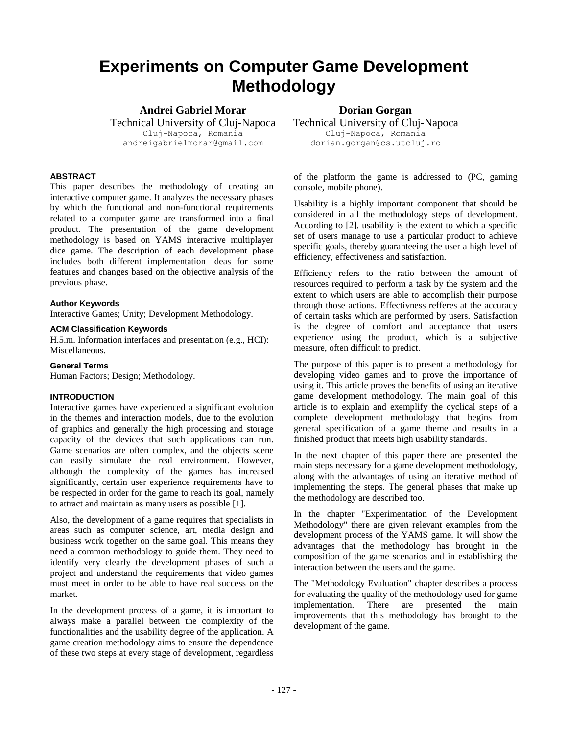# **Experiments on Computer Game Development Methodology**

**Andrei Gabriel Morar**

Technical University of Cluj-Napoca Cluj-Napoca, Romania andreigabrielmorar@gmail.com

## **ABSTRACT**

This paper describes the methodology of creating an interactive computer game. It analyzes the necessary phases by which the functional and non-functional requirements related to a computer game are transformed into a final product. The presentation of the game development methodology is based on YAMS interactive multiplayer dice game. The description of each development phase includes both different implementation ideas for some features and changes based on the objective analysis of the previous phase.

#### **Author Keywords**

Interactive Games; Unity; Development Methodology.

#### **ACM Classification Keywords**

H.5.m. Information interfaces and presentation (e.g., HCI): Miscellaneous.

#### **General Terms**

Human Factors; Design; Methodology.

## **INTRODUCTION**

Interactive games have experienced a significant evolution in the themes and interaction models, due to the evolution of graphics and generally the high processing and storage capacity of the devices that such applications can run. Game scenarios are often complex, and the objects scene can easily simulate the real environment. However, although the complexity of the games has increased significantly, certain user experience requirements have to be respected in order for the game to reach its goal, namely to attract and maintain as many users as possible [1].

Also, the development of a game requires that specialists in areas such as computer science, art, media design and business work together on the same goal. This means they need a common methodology to guide them. They need to identify very clearly the development phases of such a project and understand the requirements that video games must meet in order to be able to have real success on the market.

In the development process of a game, it is important to always make a parallel between the complexity of the functionalities and the usability degree of the application. A game creation methodology aims to ensure the dependence of these two steps at every stage of development, regardless

**Dorian Gorgan**

Technical University of Cluj-Napoca Cluj-Napoca, Romania dorian.gorgan@cs.utcluj.ro

of the platform the game is addressed to (PC, gaming console, mobile phone).

Usability is a highly important component that should be considered in all the methodology steps of development. According to [2], usability is the extent to which a specific set of users manage to use a particular product to achieve specific goals, thereby guaranteeing the user a high level of efficiency, effectiveness and satisfaction.

Efficiency refers to the ratio between the amount of resources required to perform a task by the system and the extent to which users are able to accomplish their purpose through those actions. Effectivness refferes at the accuracy of certain tasks which are performed by users. Satisfaction is the degree of comfort and acceptance that users experience using the product, which is a subjective measure, often difficult to predict.

The purpose of this paper is to present a methodology for developing video games and to prove the importance of using it. This article proves the benefits of using an iterative game development methodology. The main goal of this article is to explain and exemplify the cyclical steps of a complete development methodology that begins from general specification of a game theme and results in a finished product that meets high usability standards.

In the next chapter of this paper there are presented the main steps necessary for a game development methodology, along with the advantages of using an iterative method of implementing the steps. The general phases that make up the methodology are described too.

In the chapter "Experimentation of the Development Methodology" there are given relevant examples from the development process of the YAMS game. It will show the advantages that the methodology has brought in the composition of the game scenarios and in establishing the interaction between the users and the game.

The "Methodology Evaluation" chapter describes a process for evaluating the quality of the methodology used for game implementation. There are presented the main improvements that this methodology has brought to the development of the game.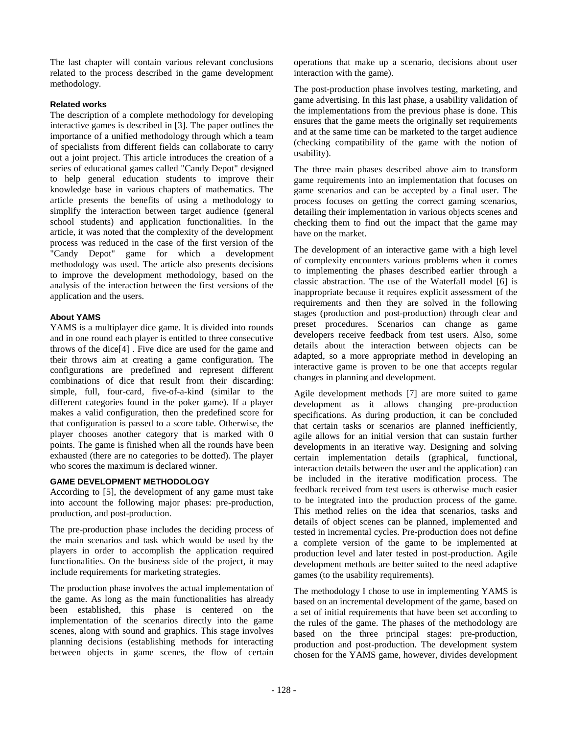The last chapter will contain various relevant conclusions related to the process described in the game development methodology.

# **Related works**

The description of a complete methodology for developing interactive games is described in [3]. The paper outlines the importance of a unified methodology through which a team of specialists from different fields can collaborate to carry out a joint project. This article introduces the creation of a series of educational games called "Candy Depot" designed to help general education students to improve their knowledge base in various chapters of mathematics. The article presents the benefits of using a methodology to simplify the interaction between target audience (general school students) and application functionalities. In the article, it was noted that the complexity of the development process was reduced in the case of the first version of the "Candy Depot" game for which a development methodology was used. The article also presents decisions to improve the development methodology, based on the analysis of the interaction between the first versions of the application and the users.

## **About YAMS**

YAMS is a multiplayer dice game. It is divided into rounds and in one round each player is entitled to three consecutive throws of the dice[4] . Five dice are used for the game and their throws aim at creating a game configuration. The configurations are predefined and represent different combinations of dice that result from their discarding: simple, full, four-card, five-of-a-kind (similar to the different categories found in the poker game). If a player makes a valid configuration, then the predefined score for that configuration is passed to a score table. Otherwise, the player chooses another category that is marked with 0 points. The game is finished when all the rounds have been exhausted (there are no categories to be dotted). The player who scores the maximum is declared winner.

# **GAME DEVELOPMENT METHODOLOGY**

According to [5], the development of any game must take into account the following major phases: pre-production, production, and post-production.

The pre-production phase includes the deciding process of the main scenarios and task which would be used by the players in order to accomplish the application required functionalities. On the business side of the project, it may include requirements for marketing strategies.

The production phase involves the actual implementation of the game. As long as the main functionalities has already been established, this phase is centered on the implementation of the scenarios directly into the game scenes, along with sound and graphics. This stage involves planning decisions (establishing methods for interacting between objects in game scenes, the flow of certain

operations that make up a scenario, decisions about user interaction with the game).

The post-production phase involves testing, marketing, and game advertising. In this last phase, a usability validation of the implementations from the previous phase is done. This ensures that the game meets the originally set requirements and at the same time can be marketed to the target audience (checking compatibility of the game with the notion of usability).

The three main phases described above aim to transform game requirements into an implementation that focuses on game scenarios and can be accepted by a final user. The process focuses on getting the correct gaming scenarios, detailing their implementation in various objects scenes and checking them to find out the impact that the game may have on the market.

The development of an interactive game with a high level of complexity encounters various problems when it comes to implementing the phases described earlier through a classic abstraction. The use of the Waterfall model [6] is inappropriate because it requires explicit assessment of the requirements and then they are solved in the following stages (production and post-production) through clear and preset procedures. Scenarios can change as game developers receive feedback from test users. Also, some details about the interaction between objects can be adapted, so a more appropriate method in developing an interactive game is proven to be one that accepts regular changes in planning and development.

Agile development methods [7] are more suited to game development as it allows changing pre-production specifications. As during production, it can be concluded that certain tasks or scenarios are planned inefficiently, agile allows for an initial version that can sustain further developments in an iterative way. Designing and solving certain implementation details (graphical, functional, interaction details between the user and the application) can be included in the iterative modification process. The feedback received from test users is otherwise much easier to be integrated into the production process of the game. This method relies on the idea that scenarios, tasks and details of object scenes can be planned, implemented and tested in incremental cycles. Pre-production does not define a complete version of the game to be implemented at production level and later tested in post-production. Agile development methods are better suited to the need adaptive games (to the usability requirements).

The methodology I chose to use in implementing YAMS is based on an incremental development of the game, based on a set of initial requirements that have been set according to the rules of the game. The phases of the methodology are based on the three principal stages: pre-production, production and post-production. The development system chosen for the YAMS game, however, divides development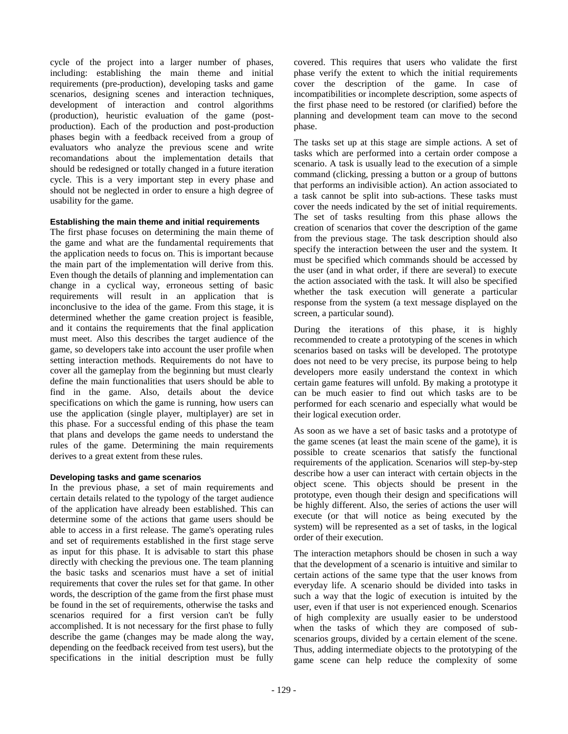cycle of the project into a larger number of phases, including: establishing the main theme and initial requirements (pre-production), developing tasks and game scenarios, designing scenes and interaction techniques, development of interaction and control algorithms (production), heuristic evaluation of the game (postproduction). Each of the production and post-production phases begin with a feedback received from a group of evaluators who analyze the previous scene and write recomandations about the implementation details that should be redesigned or totally changed in a future iteration cycle. This is a very important step in every phase and should not be neglected in order to ensure a high degree of usability for the game.

#### **Establishing the main theme and initial requirements**

The first phase focuses on determining the main theme of the game and what are the fundamental requirements that the application needs to focus on. This is important because the main part of the implementation will derive from this. Even though the details of planning and implementation can change in a cyclical way, erroneous setting of basic requirements will result in an application that is inconclusive to the idea of the game. From this stage, it is determined whether the game creation project is feasible, and it contains the requirements that the final application must meet. Also this describes the target audience of the game, so developers take into account the user profile when setting interaction methods. Requirements do not have to cover all the gameplay from the beginning but must clearly define the main functionalities that users should be able to find in the game. Also, details about the device specifications on which the game is running, how users can use the application (single player, multiplayer) are set in this phase. For a successful ending of this phase the team that plans and develops the game needs to understand the rules of the game. Determining the main requirements derives to a great extent from these rules.

#### **Developing tasks and game scenarios**

In the previous phase, a set of main requirements and certain details related to the typology of the target audience of the application have already been established. This can determine some of the actions that game users should be able to access in a first release. The game's operating rules and set of requirements established in the first stage serve as input for this phase. It is advisable to start this phase directly with checking the previous one. The team planning the basic tasks and scenarios must have a set of initial requirements that cover the rules set for that game. In other words, the description of the game from the first phase must be found in the set of requirements, otherwise the tasks and scenarios required for a first version can't be fully accomplished. It is not necessary for the first phase to fully describe the game (changes may be made along the way, depending on the feedback received from test users), but the specifications in the initial description must be fully

covered. This requires that users who validate the first phase verify the extent to which the initial requirements cover the description of the game. In case of incompatibilities or incomplete description, some aspects of the first phase need to be restored (or clarified) before the planning and development team can move to the second phase.

The tasks set up at this stage are simple actions. A set of tasks which are performed into a certain order compose a scenario. A task is usually lead to the execution of a simple command (clicking, pressing a button or a group of buttons that performs an indivisible action). An action associated to a task cannot be split into sub-actions. These tasks must cover the needs indicated by the set of initial requirements. The set of tasks resulting from this phase allows the creation of scenarios that cover the description of the game from the previous stage. The task description should also specify the interaction between the user and the system. It must be specified which commands should be accessed by the user (and in what order, if there are several) to execute the action associated with the task. It will also be specified whether the task execution will generate a particular response from the system (a text message displayed on the screen, a particular sound).

During the iterations of this phase, it is highly recommended to create a prototyping of the scenes in which scenarios based on tasks will be developed. The prototype does not need to be very precise, its purpose being to help developers more easily understand the context in which certain game features will unfold. By making a prototype it can be much easier to find out which tasks are to be performed for each scenario and especially what would be their logical execution order.

As soon as we have a set of basic tasks and a prototype of the game scenes (at least the main scene of the game), it is possible to create scenarios that satisfy the functional requirements of the application. Scenarios will step-by-step describe how a user can interact with certain objects in the object scene. This objects should be present in the prototype, even though their design and specifications will be highly different. Also, the series of actions the user will execute (or that will notice as being executed by the system) will be represented as a set of tasks, in the logical order of their execution.

The interaction metaphors should be chosen in such a way that the development of a scenario is intuitive and similar to certain actions of the same type that the user knows from everyday life. A scenario should be divided into tasks in such a way that the logic of execution is intuited by the user, even if that user is not experienced enough. Scenarios of high complexity are usually easier to be understood when the tasks of which they are composed of subscenarios groups, divided by a certain element of the scene. Thus, adding intermediate objects to the prototyping of the game scene can help reduce the complexity of some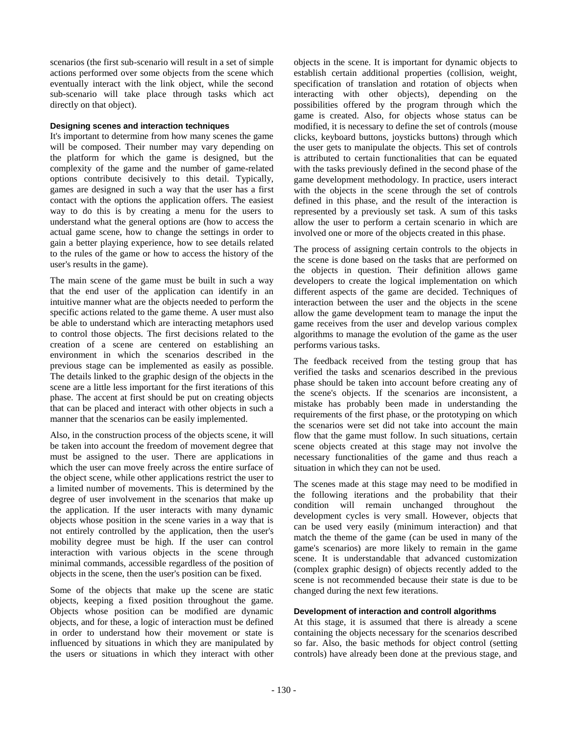scenarios (the first sub-scenario will result in a set of simple actions performed over some objects from the scene which eventually interact with the link object, while the second sub-scenario will take place through tasks which act directly on that object).

## **Designing scenes and interaction techniques**

It's important to determine from how many scenes the game will be composed. Their number may vary depending on the platform for which the game is designed, but the complexity of the game and the number of game-related options contribute decisively to this detail. Typically, games are designed in such a way that the user has a first contact with the options the application offers. The easiest way to do this is by creating a menu for the users to understand what the general options are (how to access the actual game scene, how to change the settings in order to gain a better playing experience, how to see details related to the rules of the game or how to access the history of the user's results in the game).

The main scene of the game must be built in such a way that the end user of the application can identify in an intuitive manner what are the objects needed to perform the specific actions related to the game theme. A user must also be able to understand which are interacting metaphors used to control those objects. The first decisions related to the creation of a scene are centered on establishing an environment in which the scenarios described in the previous stage can be implemented as easily as possible. The details linked to the graphic design of the objects in the scene are a little less important for the first iterations of this phase. The accent at first should be put on creating objects that can be placed and interact with other objects in such a manner that the scenarios can be easily implemented.

Also, in the construction process of the objects scene, it will be taken into account the freedom of movement degree that must be assigned to the user. There are applications in which the user can move freely across the entire surface of the object scene, while other applications restrict the user to a limited number of movements. This is determined by the degree of user involvement in the scenarios that make up the application. If the user interacts with many dynamic objects whose position in the scene varies in a way that is not entirely controlled by the application, then the user's mobility degree must be high. If the user can control interaction with various objects in the scene through minimal commands, accessible regardless of the position of objects in the scene, then the user's position can be fixed.

Some of the objects that make up the scene are static objects, keeping a fixed position throughout the game. Objects whose position can be modified are dynamic objects, and for these, a logic of interaction must be defined in order to understand how their movement or state is influenced by situations in which they are manipulated by the users or situations in which they interact with other objects in the scene. It is important for dynamic objects to establish certain additional properties (collision, weight, specification of translation and rotation of objects when interacting with other objects), depending on the possibilities offered by the program through which the game is created. Also, for objects whose status can be modified, it is necessary to define the set of controls (mouse clicks, keyboard buttons, joysticks buttons) through which the user gets to manipulate the objects. This set of controls is attributed to certain functionalities that can be equated with the tasks previously defined in the second phase of the game development methodology. In practice, users interact with the objects in the scene through the set of controls defined in this phase, and the result of the interaction is represented by a previously set task. A sum of this tasks allow the user to perform a certain scenario in which are involved one or more of the objects created in this phase.

The process of assigning certain controls to the objects in the scene is done based on the tasks that are performed on the objects in question. Their definition allows game developers to create the logical implementation on which different aspects of the game are decided. Techniques of interaction between the user and the objects in the scene allow the game development team to manage the input the game receives from the user and develop various complex algorithms to manage the evolution of the game as the user performs various tasks.

The feedback received from the testing group that has verified the tasks and scenarios described in the previous phase should be taken into account before creating any of the scene's objects. If the scenarios are inconsistent, a mistake has probably been made in understanding the requirements of the first phase, or the prototyping on which the scenarios were set did not take into account the main flow that the game must follow. In such situations, certain scene objects created at this stage may not involve the necessary functionalities of the game and thus reach a situation in which they can not be used.

The scenes made at this stage may need to be modified in the following iterations and the probability that their condition will remain unchanged throughout the development cycles is very small. However, objects that can be used very easily (minimum interaction) and that match the theme of the game (can be used in many of the game's scenarios) are more likely to remain in the game scene. It is understandable that advanced customization (complex graphic design) of objects recently added to the scene is not recommended because their state is due to be changed during the next few iterations.

# **Development of interaction and controll algorithms**

At this stage, it is assumed that there is already a scene containing the objects necessary for the scenarios described so far. Also, the basic methods for object control (setting controls) have already been done at the previous stage, and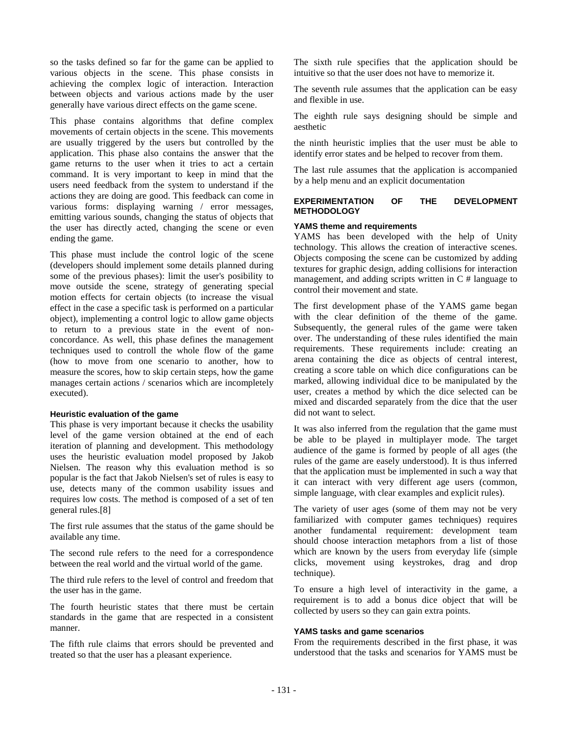so the tasks defined so far for the game can be applied to various objects in the scene. This phase consists in achieving the complex logic of interaction. Interaction between objects and various actions made by the user generally have various direct effects on the game scene.

This phase contains algorithms that define complex movements of certain objects in the scene. This movements are usually triggered by the users but controlled by the application. This phase also contains the answer that the game returns to the user when it tries to act a certain command. It is very important to keep in mind that the users need feedback from the system to understand if the actions they are doing are good. This feedback can come in various forms: displaying warning / error messages, emitting various sounds, changing the status of objects that the user has directly acted, changing the scene or even ending the game.

This phase must include the control logic of the scene (developers should implement some details planned during some of the previous phases): limit the user's posibility to move outside the scene, strategy of generating special motion effects for certain objects (to increase the visual effect in the case a specific task is performed on a particular object), implementing a control logic to allow game objects to return to a previous state in the event of nonconcordance. As well, this phase defines the management techniques used to controll the whole flow of the game (how to move from one scenario to another, how to measure the scores, how to skip certain steps, how the game manages certain actions / scenarios which are incompletely executed).

#### **Heuristic evaluation of the game**

This phase is very important because it checks the usability level of the game version obtained at the end of each iteration of planning and development. This methodology uses the heuristic evaluation model proposed by Jakob Nielsen. The reason why this evaluation method is so popular is the fact that Jakob Nielsen's set of rules is easy to use, detects many of the common usability issues and requires low costs. The method is composed of a set of ten general rules.[8]

The first rule assumes that the status of the game should be available any time.

The second rule refers to the need for a correspondence between the real world and the virtual world of the game.

The third rule refers to the level of control and freedom that the user has in the game.

The fourth heuristic states that there must be certain standards in the game that are respected in a consistent manner.

The fifth rule claims that errors should be prevented and treated so that the user has a pleasant experience.

The sixth rule specifies that the application should be intuitive so that the user does not have to memorize it.

The seventh rule assumes that the application can be easy and flexible in use.

The eighth rule says designing should be simple and aesthetic

the ninth heuristic implies that the user must be able to identify error states and be helped to recover from them.

The last rule assumes that the application is accompanied by a help menu and an explicit documentation

#### **EXPERIMENTATION OF THE DEVELOPMENT METHODOLOGY**

## **YAMS theme and requirements**

YAMS has been developed with the help of Unity technology. This allows the creation of interactive scenes. Objects composing the scene can be customized by adding textures for graphic design, adding collisions for interaction management, and adding scripts written in C # language to control their movement and state.

The first development phase of the YAMS game began with the clear definition of the theme of the game. Subsequently, the general rules of the game were taken over. The understanding of these rules identified the main requirements. These requirements include: creating an arena containing the dice as objects of central interest, creating a score table on which dice configurations can be marked, allowing individual dice to be manipulated by the user, creates a method by which the dice selected can be mixed and discarded separately from the dice that the user did not want to select.

It was also inferred from the regulation that the game must be able to be played in multiplayer mode. The target audience of the game is formed by people of all ages (the rules of the game are easely understood). It is thus inferred that the application must be implemented in such a way that it can interact with very different age users (common, simple language, with clear examples and explicit rules).

The variety of user ages (some of them may not be very familiarized with computer games techniques) requires another fundamental requirement: development team should choose interaction metaphors from a list of those which are known by the users from everyday life (simple clicks, movement using keystrokes, drag and drop technique).

To ensure a high level of interactivity in the game, a requirement is to add a bonus dice object that will be collected by users so they can gain extra points.

#### **YAMS tasks and game scenarios**

From the requirements described in the first phase, it was understood that the tasks and scenarios for YAMS must be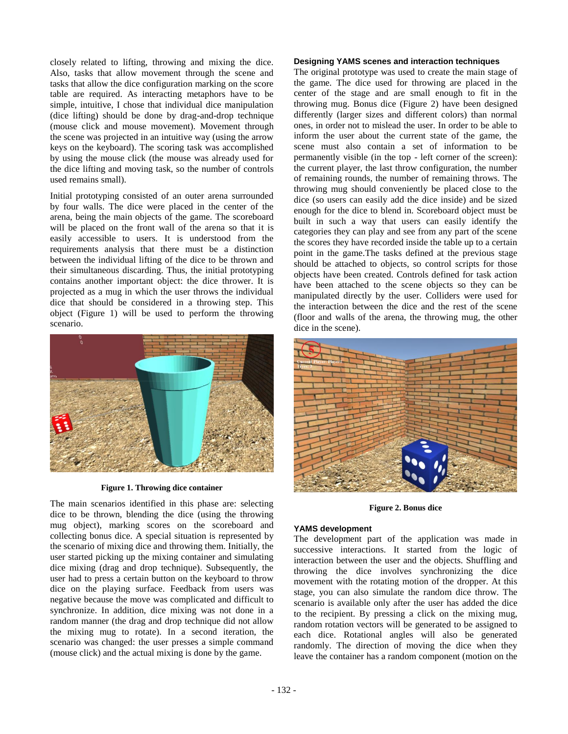closely related to lifting, throwing and mixing the dice. Also, tasks that allow movement through the scene and tasks that allow the dice configuration marking on the score table are required. As interacting metaphors have to be simple, intuitive, I chose that individual dice manipulation (dice lifting) should be done by drag-and-drop technique (mouse click and mouse movement). Movement through the scene was projected in an intuitive way (using the arrow keys on the keyboard). The scoring task was accomplished by using the mouse click (the mouse was already used for the dice lifting and moving task, so the number of controls used remains small).

Initial prototyping consisted of an outer arena surrounded by four walls. The dice were placed in the center of the arena, being the main objects of the game. The scoreboard will be placed on the front wall of the arena so that it is easily accessible to users. It is understood from the requirements analysis that there must be a distinction between the individual lifting of the dice to be thrown and their simultaneous discarding. Thus, the initial prototyping contains another important object: the dice thrower. It is projected as a mug in which the user throws the individual dice that should be considered in a throwing step. This object (Figure 1) will be used to perform the throwing scenario.



#### **Figure 1. Throwing dice container**

The main scenarios identified in this phase are: selecting dice to be thrown, blending the dice (using the throwing mug object), marking scores on the scoreboard and collecting bonus dice. A special situation is represented by the scenario of mixing dice and throwing them. Initially, the user started picking up the mixing container and simulating dice mixing (drag and drop technique). Subsequently, the user had to press a certain button on the keyboard to throw dice on the playing surface. Feedback from users was negative because the move was complicated and difficult to synchronize. In addition, dice mixing was not done in a random manner (the drag and drop technique did not allow the mixing mug to rotate). In a second iteration, the scenario was changed: the user presses a simple command (mouse click) and the actual mixing is done by the game.

#### **Designing YAMS scenes and interaction techniques**

The original prototype was used to create the main stage of the game. The dice used for throwing are placed in the center of the stage and are small enough to fit in the throwing mug. Bonus dice (Figure 2) have been designed differently (larger sizes and different colors) than normal ones, in order not to mislead the user. In order to be able to inform the user about the current state of the game, the scene must also contain a set of information to be permanently visible (in the top - left corner of the screen): the current player, the last throw configuration, the number of remaining rounds, the number of remaining throws. The throwing mug should conveniently be placed close to the dice (so users can easily add the dice inside) and be sized enough for the dice to blend in. Scoreboard object must be built in such a way that users can easily identify the categories they can play and see from any part of the scene the scores they have recorded inside the table up to a certain point in the game.The tasks defined at the previous stage should be attached to objects, so control scripts for those objects have been created. Controls defined for task action have been attached to the scene objects so they can be manipulated directly by the user. Colliders were used for the interaction between the dice and the rest of the scene (floor and walls of the arena, the throwing mug, the other dice in the scene).



**Figure 2. Bonus dice**

#### **YAMS development**

The development part of the application was made in successive interactions. It started from the logic of interaction between the user and the objects. Shuffling and throwing the dice involves synchronizing the dice movement with the rotating motion of the dropper. At this stage, you can also simulate the random dice throw. The scenario is available only after the user has added the dice to the recipient. By pressing a click on the mixing mug, random rotation vectors will be generated to be assigned to each dice. Rotational angles will also be generated randomly. The direction of moving the dice when they leave the container has a random component (motion on the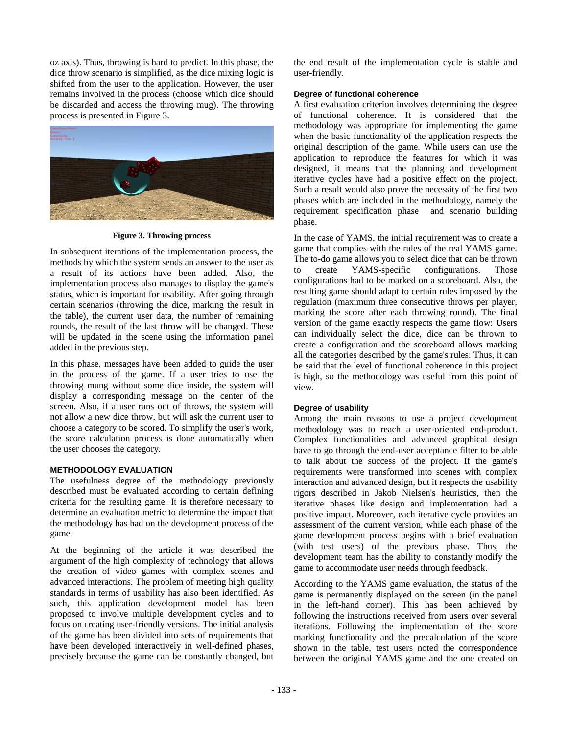oz axis). Thus, throwing is hard to predict. In this phase, the dice throw scenario is simplified, as the dice mixing logic is shifted from the user to the application. However, the user remains involved in the process (choose which dice should be discarded and access the throwing mug). The throwing process is presented in Figure 3.



**Figure 3. Throwing process**

In subsequent iterations of the implementation process, the methods by which the system sends an answer to the user as a result of its actions have been added. Also, the implementation process also manages to display the game's status, which is important for usability. After going through certain scenarios (throwing the dice, marking the result in the table), the current user data, the number of remaining rounds, the result of the last throw will be changed. These will be updated in the scene using the information panel added in the previous step.

In this phase, messages have been added to guide the user in the process of the game. If a user tries to use the throwing mung without some dice inside, the system will display a corresponding message on the center of the screen. Also, if a user runs out of throws, the system will not allow a new dice throw, but will ask the current user to choose a category to be scored. To simplify the user's work, the score calculation process is done automatically when the user chooses the category.

# **METHODOLOGY EVALUATION**

The usefulness degree of the methodology previously described must be evaluated according to certain defining criteria for the resulting game. It is therefore necessary to determine an evaluation metric to determine the impact that the methodology has had on the development process of the game.

At the beginning of the article it was described the argument of the high complexity of technology that allows the creation of video games with complex scenes and advanced interactions. The problem of meeting high quality standards in terms of usability has also been identified. As such, this application development model has been proposed to involve multiple development cycles and to focus on creating user-friendly versions. The initial analysis of the game has been divided into sets of requirements that have been developed interactively in well-defined phases, precisely because the game can be constantly changed, but

the end result of the implementation cycle is stable and user-friendly.

# **Degree of functional coherence**

A first evaluation criterion involves determining the degree of functional coherence. It is considered that the methodology was appropriate for implementing the game when the basic functionality of the application respects the original description of the game. While users can use the application to reproduce the features for which it was designed, it means that the planning and development iterative cycles have had a positive effect on the project. Such a result would also prove the necessity of the first two phases which are included in the methodology, namely the requirement specification phase and scenario building phase.

In the case of YAMS, the initial requirement was to create a game that complies with the rules of the real YAMS game. The to-do game allows you to select dice that can be thrown to create YAMS-specific configurations. Those configurations had to be marked on a scoreboard. Also, the resulting game should adapt to certain rules imposed by the regulation (maximum three consecutive throws per player, marking the score after each throwing round). The final version of the game exactly respects the game flow: Users can individually select the dice, dice can be thrown to create a configuration and the scoreboard allows marking all the categories described by the game's rules. Thus, it can be said that the level of functional coherence in this project is high, so the methodology was useful from this point of view.

# **Degree of usability**

Among the main reasons to use a project development methodology was to reach a user-oriented end-product. Complex functionalities and advanced graphical design have to go through the end-user acceptance filter to be able to talk about the success of the project. If the game's requirements were transformed into scenes with complex interaction and advanced design, but it respects the usability rigors described in Jakob Nielsen's heuristics, then the iterative phases like design and implementation had a positive impact. Moreover, each iterative cycle provides an assessment of the current version, while each phase of the game development process begins with a brief evaluation (with test users) of the previous phase. Thus, the development team has the ability to constantly modify the game to accommodate user needs through feedback.

According to the YAMS game evaluation, the status of the game is permanently displayed on the screen (in the panel in the left-hand corner). This has been achieved by following the instructions received from users over several iterations. Following the implementation of the score marking functionality and the precalculation of the score shown in the table, test users noted the correspondence between the original YAMS game and the one created on